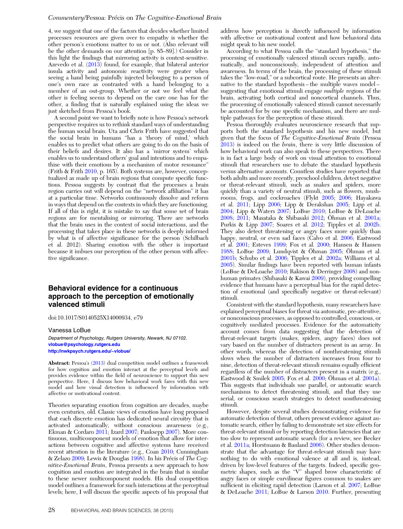4, we suggest that one of the factors that decides whether limited processes resources are given over to empathy is whether the other person's emotions matter to us or not. (Also relevant will be the other demands on our attention [p. 85–89].) Consider in this light the findings that mirroring activity is context-sensitive. Azevedo et al. (2013) found, for example, that bilateral anterior insula activity and autonomic reactivity were greater when seeing a hand being painfully injected belonging to a person of one's own race as contrasted with a hand belonging to a member of an out-group. Whether or not we feel what the other is feeling seems to depend on the care one has for the other, a finding that is naturally explained using the ideas we just sketched from Pessoa's book.

A second point we want to briefly note is how Pessoa's network perspective requires us to rethink standard ways of understanding the human social brain. Uta and Chris Frith have suggested that the social brain in humans "has a 'theory of mind,' which enables us to predict what others are going to do on the basis of their beliefs and desires. It also has a 'mirror system' which enables us to understand others' goal and intentions and to empathise with their emotions by a mechanism of motor resonance" (Frith & Frith 2010, p. 165). Both systems are, however, conceptualized as made up of brain regions that compute specific functions. Pessoa suggests by contrast that the processes a brain region carries out will depend on the "network affiliation" it has at a particular time. Networks continuously dissolve and reform in ways that depend on the contexts in which they are functioning. If all of this is right, it is mistake to say that some set of brain regions are for mentalising or mirroring. There are networks that the brain uses in the context of social interactions, and the processing that takes place in these networks is deeply informed by what is of affective significance for the person (Schilbach et al. 2012). Sharing emotion with the other is important because it imbues our perception of the other person with affective significance.

## Behavioral evidence for a continuous approach to the perception of emotionally valenced stimuli

doi:10.1017/S0140525X14000934, e79

Vanessa LoBue

Department of Psychology, Rutgers University, Newark, NJ 07102. [vlobue@psychology.rutgers.edu](mailto:vlobue@psychology.rutgers.edu) <http://nwkpsych.rutgers.edu/~vlobue/>

Abstract: Pessoa's (2013) dual competition model outlines a framework for how cognition and emotion interact at the perceptual levels and provides evidence within the field of neuroscience to support this new perspective. Here, I discuss how behavioral work fares with this new model and how visual detection is influenced by information with affective or motivational content.

Theories separating emotion from cognition are decades, maybe even centuries, old. Classic views of emotion have long proposed that each discrete emotion has dedicated neural circuitry that is activated automatically, without conscious awareness (e.g., Ekman & Cordaro 2011; Izard 2007; Panksepp 2007). More continuous, multicomponent models of emotion that allow for interactions between cognitive and affective systems have received recent attention in the literature (e.g., Coan 2010; Cunningham & Zelazo 2009; Lewis & Douglas 1998). In his Précis of The Cognitive-Emotional Brain, Pessoa presents a new approach to how cognition and emotion are integrated in the brain that is similar to these newer multicomponent models. His dual competition model outlines a framework for such interactions at the perceptual levels; here, I will discuss the specific aspects of his proposal that

address how perception is directly influenced by information with affective or motivational content and how behavioral data might speak to his new model.

According to what Pessoa calls the "standard hypothesis," the processing of emotionally valenced stimuli occurs rapidly, automatically, and nonconsciously, independent of attention and awareness. In terms of the brain, the processing of these stimuli takes the "low-road," or a subcortical route. He presents an alternative to the standard hypothesis – the multiple waves model – suggesting that emotional stimuli engage multiple regions of the brain, activating both cortical and noncortical channels. Thus, the processing of emotionally valenced stimuli cannot necessarily be accounted for by one specific mechanism, and there are multiple pathways for the perception of these stimuli.

Pessoa thoroughly evaluates neuroscience research that supports both the standard hypothesis and his new model, but given that the focus of The Cognitive-Emotional Brain (Pessoa  $2013$ ) is indeed on the *brain*, there is very little discussion of how behavioral work can also speak to these perspectives. There is in fact a large body of work on visual attention to emotional stimuli that researchers use to debate the standard hypothesis versus alternative accounts. Countless studies have reported that both adults and more recently, preschool children, detect negative or threat-relevant stimuli, such as snakes and spiders, more quickly than a variety of neutral stimuli, such as flowers, mushrooms, frogs, and cockroaches (Flykt 2005; 2006; Hayakawa et al. 2011; Lipp 2006; Lipp & Derakshan 2005; Lipp et al. 2004; Lipp & Waters 2007; LoBue 2010; LoBue & DeLoache 2008; 2011; Masataka & Shibasaki 2012; Öhman et al. 2001a; Purkis & Lipp 2007; Soares et al. 2012; Tipples et al. 2002b. They also detect threatening or angry faces more quickly than happy, neutral, or even sad faces (Calvo et al. 2006; Eastwood et al. 2001; Esteves 1999; Fox et al. 2000; Hansen & Hansen 1988; LoBue 2009; Lundqvist & Öhman 2005; Öhman et al. 2001b; Schubo et al. 2006; Tipples et al. 2002a; Williams et al. 2005). Similar findings have been reported with human infants (LoBue & DeLoache 2010; Rakison & Derringer 2008) and nonhuman primates (Shibasaki & Kawai 2009), providing compelling evidence that humans have a perceptual bias for the rapid detection of emotional (and specifically negative or threat-relevant) stimuli.

Consistent with the standard hypothesis, many researchers have explained perceptual biases for threat via automatic, pre-attentive, or nonconscious processes, as opposed to controlled, conscious, or cognitively mediated processes. Evidence for the automaticity account comes from data suggesting that the detection of threat-relevant targets (snakes, spiders, angry faces) does not vary based on the number of distracters present in an array. In other words, whereas the detection of nonthreatening stimuli slows when the number of distracters increases from four to nine, detection of threat-relevant stimuli remains equally efficient regardless of the number of distracters present in a matrix (e.g., Eastwood & Smilek 2005; Fox et al. 2000; Öhman et al. 2001a). This suggests that individuals use parallel, or automatic search mechanisms to detect threatening stimuli, and that they use serial, or conscious search strategies to detect nonthreatening stimuli.

However, despite several studies demonstrating evidence for automatic detection of threat, others present evidence against automatic search, either by failing to demonstrate set size effects for threat-relevant stimuli or by reporting detection latencies that are too slow to represent automatic search (for a review, see Becker et al. 2011a; Horstmann & Bauland 2006). Other studies demonstrate that the advantage for threat-relevant stimuli may have nothing to do with emotional valence at all and is, instead, driven by low-level features of the targets. Indeed, specific geometric shapes, such as the "V" shaped brow characteristic of angry faces or simple curvilinear figures common to snakes are sufficient in eliciting rapid detection (Larson et al. 2007; LoBue & DeLoache 2011; LoBue & Larson 2010. Further, presenting